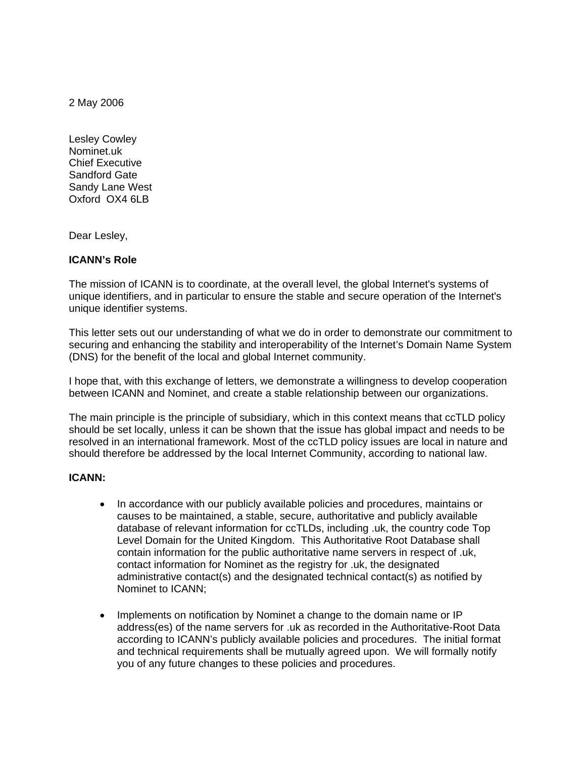2 May 2006

Lesley Cowley Nominet.uk Chief Executive Sandford Gate Sandy Lane West Oxford OX4 6LB

Dear Lesley,

# **ICANN's Role**

The mission of ICANN is to coordinate, at the overall level, the global Internet's systems of unique identifiers, and in particular to ensure the stable and secure operation of the Internet's unique identifier systems.

This letter sets out our understanding of what we do in order to demonstrate our commitment to securing and enhancing the stability and interoperability of the Internet's Domain Name System (DNS) for the benefit of the local and global Internet community.

I hope that, with this exchange of letters, we demonstrate a willingness to develop cooperation between ICANN and Nominet, and create a stable relationship between our organizations.

The main principle is the principle of subsidiary, which in this context means that ccTLD policy should be set locally, unless it can be shown that the issue has global impact and needs to be resolved in an international framework. Most of the ccTLD policy issues are local in nature and should therefore be addressed by the local Internet Community, according to national law.

## **ICANN:**

- In accordance with our publicly available policies and procedures, maintains or causes to be maintained, a stable, secure, authoritative and publicly available database of relevant information for ccTLDs, including .uk, the country code Top Level Domain for the United Kingdom. This Authoritative Root Database shall contain information for the public authoritative name servers in respect of .uk, contact information for Nominet as the registry for .uk, the designated administrative contact(s) and the designated technical contact(s) as notified by Nominet to ICANN;
- Implements on notification by Nominet a change to the domain name or IP address(es) of the name servers for .uk as recorded in the Authoritative-Root Data according to ICANN's publicly available policies and procedures. The initial format and technical requirements shall be mutually agreed upon. We will formally notify you of any future changes to these policies and procedures.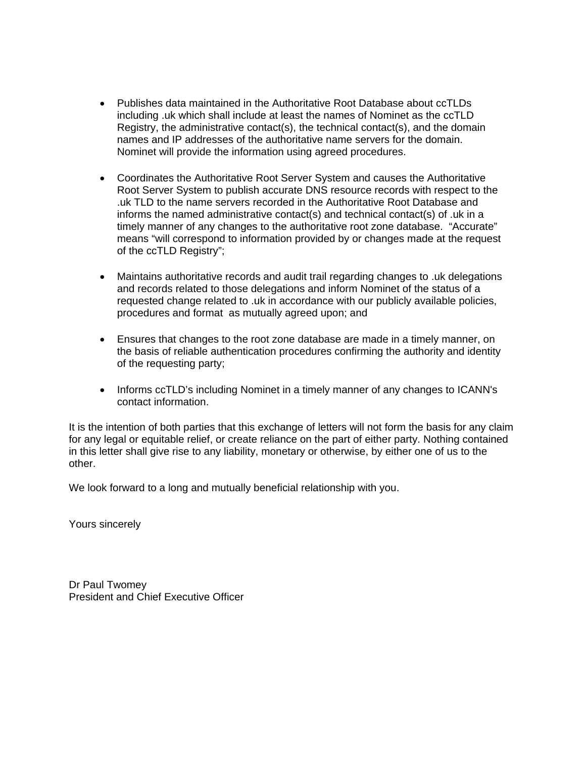- Publishes data maintained in the Authoritative Root Database about ccTLDs including .uk which shall include at least the names of Nominet as the ccTLD Registry, the administrative contact(s), the technical contact(s), and the domain names and IP addresses of the authoritative name servers for the domain. Nominet will provide the information using agreed procedures.
- Coordinates the Authoritative Root Server System and causes the Authoritative Root Server System to publish accurate DNS resource records with respect to the .uk TLD to the name servers recorded in the Authoritative Root Database and informs the named administrative contact(s) and technical contact(s) of .uk in a timely manner of any changes to the authoritative root zone database. "Accurate" means "will correspond to information provided by or changes made at the request of the ccTLD Registry";
- Maintains authoritative records and audit trail regarding changes to .uk delegations and records related to those delegations and inform Nominet of the status of a requested change related to .uk in accordance with our publicly available policies, procedures and format as mutually agreed upon; and
- Ensures that changes to the root zone database are made in a timely manner, on the basis of reliable authentication procedures confirming the authority and identity of the requesting party;
- Informs ccTLD's including Nominet in a timely manner of any changes to ICANN's contact information.

It is the intention of both parties that this exchange of letters will not form the basis for any claim for any legal or equitable relief, or create reliance on the part of either party. Nothing contained in this letter shall give rise to any liability, monetary or otherwise, by either one of us to the other.

We look forward to a long and mutually beneficial relationship with you.

Yours sincerely

Dr Paul Twomey President and Chief Executive Officer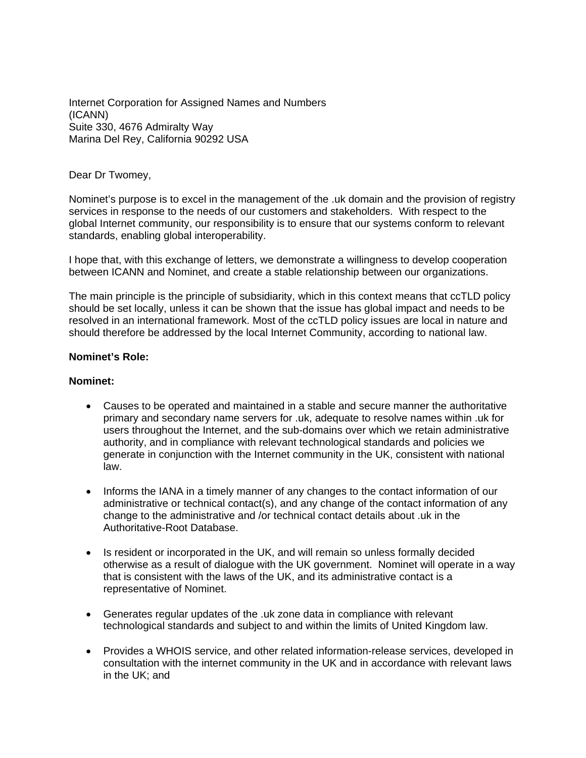Internet Corporation for Assigned Names and Numbers (ICANN) Suite 330, 4676 Admiralty Way Marina Del Rey, California 90292 USA

## Dear Dr Twomey,

Nominet's purpose is to excel in the management of the .uk domain and the provision of registry services in response to the needs of our customers and stakeholders. With respect to the global Internet community, our responsibility is to ensure that our systems conform to relevant standards, enabling global interoperability.

I hope that, with this exchange of letters, we demonstrate a willingness to develop cooperation between ICANN and Nominet, and create a stable relationship between our organizations.

The main principle is the principle of subsidiarity, which in this context means that ccTLD policy should be set locally, unless it can be shown that the issue has global impact and needs to be resolved in an international framework. Most of the ccTLD policy issues are local in nature and should therefore be addressed by the local Internet Community, according to national law.

## **Nominet's Role:**

## **Nominet:**

- Causes to be operated and maintained in a stable and secure manner the authoritative primary and secondary name servers for .uk, adequate to resolve names within .uk for users throughout the Internet, and the sub-domains over which we retain administrative authority, and in compliance with relevant technological standards and policies we generate in conjunction with the Internet community in the UK, consistent with national law.
- Informs the IANA in a timely manner of any changes to the contact information of our administrative or technical contact(s), and any change of the contact information of any change to the administrative and /or technical contact details about .uk in the Authoritative-Root Database.
- Is resident or incorporated in the UK, and will remain so unless formally decided otherwise as a result of dialogue with the UK government. Nominet will operate in a way that is consistent with the laws of the UK, and its administrative contact is a representative of Nominet.
- Generates regular updates of the .uk zone data in compliance with relevant technological standards and subject to and within the limits of United Kingdom law.
- Provides a WHOIS service, and other related information-release services, developed in consultation with the internet community in the UK and in accordance with relevant laws in the UK; and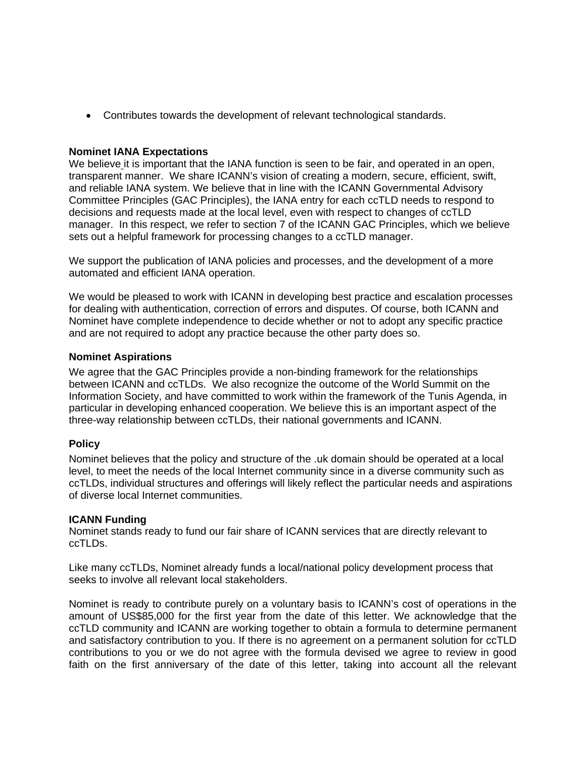• Contributes towards the development of relevant technological standards.

# **Nominet IANA Expectations**

We believe it is important that the IANA function is seen to be fair, and operated in an open, transparent manner. We share ICANN's vision of creating a modern, secure, efficient, swift, and reliable IANA system. We believe that in line with the ICANN Governmental Advisory Committee Principles (GAC Principles), the IANA entry for each ccTLD needs to respond to decisions and requests made at the local level, even with respect to changes of ccTLD manager. In this respect, we refer to section 7 of the ICANN GAC Principles, which we believe sets out a helpful framework for processing changes to a ccTLD manager.

We support the publication of IANA policies and processes, and the development of a more automated and efficient IANA operation.

We would be pleased to work with ICANN in developing best practice and escalation processes for dealing with authentication, correction of errors and disputes. Of course, both ICANN and Nominet have complete independence to decide whether or not to adopt any specific practice and are not required to adopt any practice because the other party does so.

## **Nominet Aspirations**

We agree that the GAC Principles provide a non-binding framework for the relationships between ICANN and ccTLDs. We also recognize the outcome of the World Summit on the Information Society, and have committed to work within the framework of the Tunis Agenda, in particular in developing enhanced cooperation. We believe this is an important aspect of the three-way relationship between ccTLDs, their national governments and ICANN.

# **Policy**

Nominet believes that the policy and structure of the .uk domain should be operated at a local level, to meet the needs of the local Internet community since in a diverse community such as ccTLDs, individual structures and offerings will likely reflect the particular needs and aspirations of diverse local Internet communities.

## **ICANN Funding**

Nominet stands ready to fund our fair share of ICANN services that are directly relevant to ccTLDs.

Like many ccTLDs, Nominet already funds a local/national policy development process that seeks to involve all relevant local stakeholders.

Nominet is ready to contribute purely on a voluntary basis to ICANN's cost of operations in the amount of US\$85,000 for the first year from the date of this letter. We acknowledge that the ccTLD community and ICANN are working together to obtain a formula to determine permanent and satisfactory contribution to you. If there is no agreement on a permanent solution for ccTLD contributions to you or we do not agree with the formula devised we agree to review in good faith on the first anniversary of the date of this letter, taking into account all the relevant